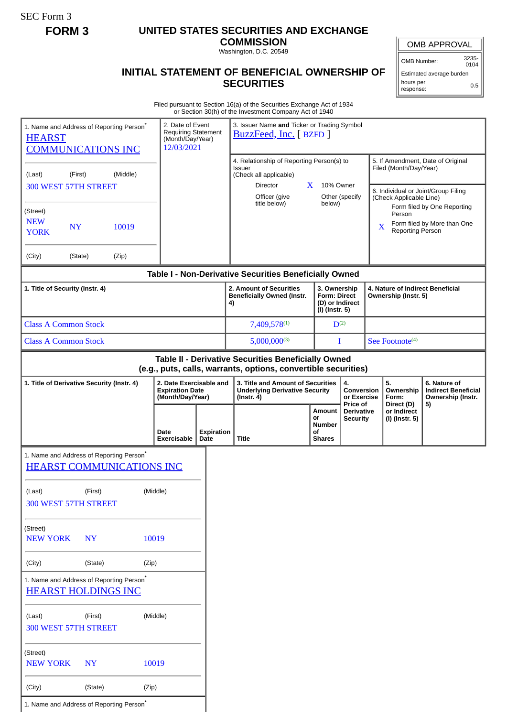SEC Form 3

## **FORM 3 UNITED STATES SECURITIES AND EXCHANGE**

**COMMISSION** Washington, D.C. 20549

## **INITIAL STATEMENT OF BENEFICIAL OWNERSHIP OF SECURITIES**

OMB APPROVAL

OMB Number: 3235- 0104

Estimated average burden hours per response: 0.5

Filed pursuant to Section 16(a) of the Securities Exchange Act of 1934 or Section 30(h) of the Investment Company Act of 1940

| 1. Name and Address of Reporting Person*<br><b>HEARST</b><br><b>COMMUNICATIONS INC</b>                              |           |                                          | 2. Date of Event<br><b>Requiring Statement</b><br>(Month/Day/Year)<br>12/03/2021 |                                                                                                | 3. Issuer Name and Ticker or Trading Symbol<br>BuzzFeed, Inc. [ BZFD ]                                                |                                                                                                                                      |                                           |                          |                                                                                                                               |                                                            |  |
|---------------------------------------------------------------------------------------------------------------------|-----------|------------------------------------------|----------------------------------------------------------------------------------|------------------------------------------------------------------------------------------------|-----------------------------------------------------------------------------------------------------------------------|--------------------------------------------------------------------------------------------------------------------------------------|-------------------------------------------|--------------------------|-------------------------------------------------------------------------------------------------------------------------------|------------------------------------------------------------|--|
| (First)<br>(Middle)<br>(Last)<br>300 WEST 57TH STREET                                                               |           |                                          |                                                                                  |                                                                                                | 4. Relationship of Reporting Person(s) to<br><b>Issuer</b><br>(Check all applicable)<br>Director<br>Officer (give     | X                                                                                                                                    | 10% Owner<br>Other (specify               |                          | 5. If Amendment, Date of Original<br>Filed (Month/Day/Year)<br>6. Individual or Joint/Group Filing<br>(Check Applicable Line) |                                                            |  |
| (Street)<br><b>NEW</b><br><b>YORK</b>                                                                               | <b>NY</b> | 10019                                    |                                                                                  |                                                                                                | title below)                                                                                                          | below)                                                                                                                               |                                           | $\overline{\mathbf{X}}$  | Person<br><b>Reporting Person</b>                                                                                             | Form filed by One Reporting<br>Form filed by More than One |  |
| (City)                                                                                                              | (State)   | (Zip)                                    |                                                                                  |                                                                                                |                                                                                                                       |                                                                                                                                      |                                           |                          |                                                                                                                               |                                                            |  |
| Table I - Non-Derivative Securities Beneficially Owned                                                              |           |                                          |                                                                                  |                                                                                                |                                                                                                                       |                                                                                                                                      |                                           |                          |                                                                                                                               |                                                            |  |
| 1. Title of Security (Instr. 4)                                                                                     |           |                                          |                                                                                  | 2. Amount of Securities<br><b>Beneficially Owned (Instr.</b><br>4)                             |                                                                                                                       | 3. Ownership<br>4. Nature of Indirect Beneficial<br><b>Form: Direct</b><br>Ownership (Instr. 5)<br>(D) or Indirect<br>(I) (Instr. 5) |                                           |                          |                                                                                                                               |                                                            |  |
| <b>Class A Common Stock</b>                                                                                         |           |                                          |                                                                                  | 7,409,578(1)                                                                                   |                                                                                                                       | $D^{(2)}$                                                                                                                            |                                           |                          |                                                                                                                               |                                                            |  |
| <b>Class A Common Stock</b>                                                                                         |           |                                          |                                                                                  | $5,000,000^{(3)}$                                                                              |                                                                                                                       | I                                                                                                                                    | See Footnote <sup>(4)</sup>               |                          |                                                                                                                               |                                                            |  |
|                                                                                                                     |           |                                          |                                                                                  |                                                                                                | Table II - Derivative Securities Beneficially Owned<br>(e.g., puts, calls, warrants, options, convertible securities) |                                                                                                                                      |                                           |                          |                                                                                                                               |                                                            |  |
| 2. Date Exercisable and<br>1. Title of Derivative Security (Instr. 4)<br><b>Expiration Date</b><br>(Month/Day/Year) |           |                                          |                                                                                  | 3. Title and Amount of Securities<br><b>Underlying Derivative Security</b><br>$($ lnstr. 4 $)$ |                                                                                                                       | 4.<br>Conversion<br>or Exercise                                                                                                      |                                           | 5.<br>Ownership<br>Form: | 6. Nature of<br><b>Indirect Beneficial</b><br>Ownership (Instr.                                                               |                                                            |  |
|                                                                                                                     |           |                                          | Date<br>Exercisable                                                              | <b>Expiration</b><br>Date                                                                      | <b>Title</b>                                                                                                          | Amount<br>or<br><b>Number</b><br>οf<br><b>Shares</b>                                                                                 | Price of<br>Derivative<br><b>Security</b> |                          | Direct (D)<br>or Indirect<br>(I) (Instr. 5)                                                                                   | 5)                                                         |  |
| 1. Name and Address of Reporting Person*                                                                            |           | <b>HEARST COMMUNICATIONS INC</b>         |                                                                                  |                                                                                                |                                                                                                                       |                                                                                                                                      |                                           |                          |                                                                                                                               |                                                            |  |
| (Last)<br>300 WEST 57TH STREET                                                                                      | (First)   |                                          | (Middle)                                                                         |                                                                                                |                                                                                                                       |                                                                                                                                      |                                           |                          |                                                                                                                               |                                                            |  |
| (Street)<br><b>NEW YORK</b>                                                                                         | <b>NY</b> |                                          | 10019                                                                            |                                                                                                |                                                                                                                       |                                                                                                                                      |                                           |                          |                                                                                                                               |                                                            |  |
| (City)                                                                                                              | (State)   |                                          | (Zip)                                                                            |                                                                                                |                                                                                                                       |                                                                                                                                      |                                           |                          |                                                                                                                               |                                                            |  |
| <b>HEARST HOLDINGS INC</b>                                                                                          |           | 1. Name and Address of Reporting Person* |                                                                                  |                                                                                                |                                                                                                                       |                                                                                                                                      |                                           |                          |                                                                                                                               |                                                            |  |
| (Middle)<br>(Last)<br>(First)<br>300 WEST 57TH STREET                                                               |           |                                          |                                                                                  |                                                                                                |                                                                                                                       |                                                                                                                                      |                                           |                          |                                                                                                                               |                                                            |  |
| (Street)<br><b>NEW YORK</b>                                                                                         | <b>NY</b> |                                          | 10019                                                                            |                                                                                                |                                                                                                                       |                                                                                                                                      |                                           |                          |                                                                                                                               |                                                            |  |
| (City)                                                                                                              | (State)   |                                          | (Zip)                                                                            |                                                                                                |                                                                                                                       |                                                                                                                                      |                                           |                          |                                                                                                                               |                                                            |  |
| 1. Name and Address of Reporting Person <sup>*</sup>                                                                |           |                                          |                                                                                  |                                                                                                |                                                                                                                       |                                                                                                                                      |                                           |                          |                                                                                                                               |                                                            |  |